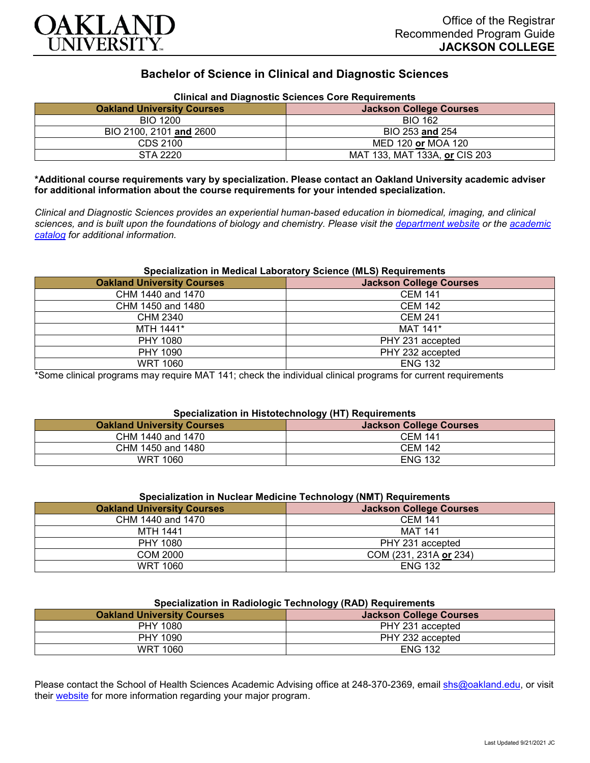

# **Bachelor of Science in Clinical and Diagnostic Sciences**

| <b>Oakland University Courses</b> | Clinical and Diagnostic Sciences Core Requirements<br><b>Jackson College Courses</b> |
|-----------------------------------|--------------------------------------------------------------------------------------|
| <b>BIO 1200</b>                   | <b>BIO 162</b>                                                                       |
| BIO 2100, 2101 and 2600           | BIO 253 and 254                                                                      |
| CDS 2100                          | MED 120 or MOA 120                                                                   |
| STA 2220                          | MAT 133, MAT 133A, or CIS 203                                                        |

## **Clinical and Diagnostic Sciences Core Requirements**

**\*Additional course requirements vary by specialization. Please contact an Oakland University academic adviser for additional information about the course requirements for your intended specialization.**

*Clinical and Diagnostic Sciences provides an experiential human-based education in biomedical, imaging, and clinical sciences, and is built upon the foundations of biology and chemistry. Please visit the [department website](https://www.oakland.edu/shs/clinical-and-diagnostic-sciences/) or the [academic](http://catalog.oakland.edu/preview_program.php?catoid=53&poid=8663)  [catalog](http://catalog.oakland.edu/preview_program.php?catoid=53&poid=8663) for additional information.*

## **Specialization in Medical Laboratory Science (MLS) Requirements**

| <b>Oakland University Courses</b> | <b>Jackson College Courses</b> |
|-----------------------------------|--------------------------------|
| CHM 1440 and 1470                 | <b>CEM 141</b>                 |
| CHM 1450 and 1480                 | <b>CEM 142</b>                 |
| CHM 2340                          | <b>CEM 241</b>                 |
| MTH 1441*                         | MAT 141*                       |
| PHY 1080                          | PHY 231 accepted               |
| PHY 1090                          | PHY 232 accepted               |
| <b>WRT 1060</b>                   | <b>ENG 132</b>                 |

\*Some clinical programs may require MAT 141; check the individual clinical programs for current requirements

## **Specialization in Histotechnology (HT) Requirements**

|                                   | .                              |
|-----------------------------------|--------------------------------|
| <b>Oakland University Courses</b> | <b>Jackson College Courses</b> |
| CHM 1440 and 1470                 | <b>CEM 141</b>                 |
| CHM 1450 and 1480                 | <b>CEM 142</b>                 |
| <b>WRT 1060</b>                   | <b>ENG 132</b>                 |

#### **Specialization in Nuclear Medicine Technology (NMT) Requirements**

|                                   | .                              |
|-----------------------------------|--------------------------------|
| <b>Oakland University Courses</b> | <b>Jackson College Courses</b> |
| CHM 1440 and 1470                 | <b>CEM 141</b>                 |
| MTH 1441                          | <b>MAT 141</b>                 |
| PHY 1080                          | PHY 231 accepted               |
| COM 2000                          | COM (231, 231A or 234)         |
| <b>WRT 1060</b>                   | <b>ENG 132</b>                 |

## **Specialization in Radiologic Technology (RAD) Requirements**

| <b>Oakland University Courses</b> | .<br><b>Jackson College Courses</b> |
|-----------------------------------|-------------------------------------|
| <b>PHY 1080</b>                   | PHY 231 accepted                    |
| PHY 1090                          | PHY 232 accepted                    |
| <b>WRT 1060</b>                   | <b>ENG 132</b>                      |

Please contact the School of Health Sciences Academic Advising office at 248-370-2369, email [shs@oakland.edu,](mailto:shs@oakland.edu) or visit their [website](http://www.oakland.edu/shs/advising) for more information regarding your major program.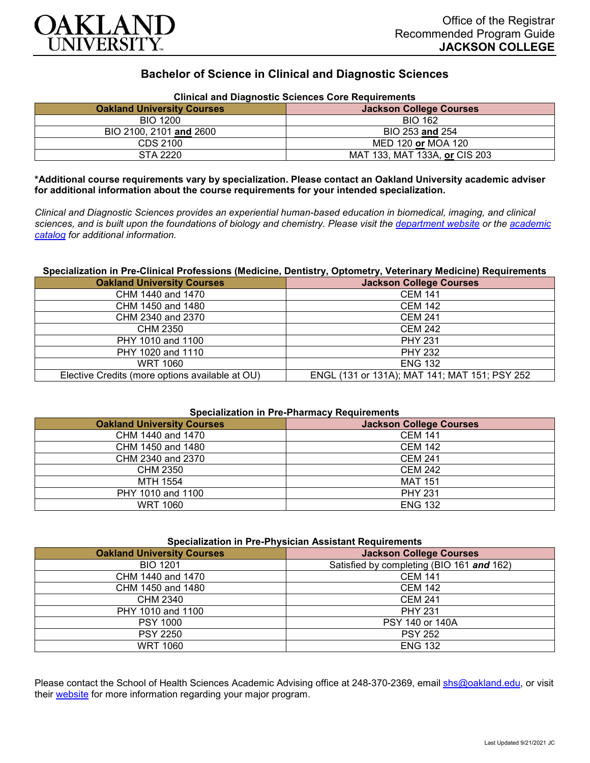

# **Bachelor of Science in Clinical and Diagnostic Sciences**

| <b>Oakland University Courses</b> | <b>Jackson College Courses</b> |
|-----------------------------------|--------------------------------|
| <b>BIO 1200</b>                   | <b>BIO 162</b>                 |
| BIO 2100, 2101 and 2600           | BIO 253 and 254                |
| CDS 2100                          | MED 120 or MOA 120             |
| STA 2220                          | MAT 133, MAT 133A, or CIS 203  |

## **Clinical and Diagnostic Sciences Core Requirements**

**\*Additional course requirements vary by specialization. Please contact an Oakland University academic adviser for additional information about the course requirements for your intended specialization.**

*Clinical and Diagnostic Sciences provides an experiential human-based education in biomedical, imaging, and clinical sciences, and is built upon the foundations of biology and chemistry. Please visit the [department website](https://www.oakland.edu/shs/clinical-and-diagnostic-sciences/) or the [academic](http://catalog.oakland.edu/preview_program.php?catoid=53&poid=8663)  [catalog](http://catalog.oakland.edu/preview_program.php?catoid=53&poid=8663) for additional information.*

## **Specialization in Pre-Clinical Professions (Medicine, Dentistry, Optometry, Veterinary Medicine) Requirements**

| <b>Oakland University Courses</b>               | <b>Jackson College Courses</b>                |
|-------------------------------------------------|-----------------------------------------------|
| CHM 1440 and 1470                               | <b>CEM 141</b>                                |
| CHM 1450 and 1480                               | <b>CEM 142</b>                                |
| CHM 2340 and 2370                               | <b>CEM 241</b>                                |
| CHM 2350                                        | <b>CEM 242</b>                                |
| PHY 1010 and 1100                               | <b>PHY 231</b>                                |
| PHY 1020 and 1110                               | <b>PHY 232</b>                                |
| <b>WRT 1060</b>                                 | <b>ENG 132</b>                                |
| Elective Credits (more options available at OU) | ENGL (131 or 131A); MAT 141; MAT 151; PSY 252 |

#### **Specialization in Pre-Pharmacy Requirements**

| <b>Oakland University Courses</b> | <b>Jackson College Courses</b> |
|-----------------------------------|--------------------------------|
| CHM 1440 and 1470                 | <b>CEM 141</b>                 |
| CHM 1450 and 1480                 | <b>CEM 142</b>                 |
| CHM 2340 and 2370                 | <b>CEM 241</b>                 |
| CHM 2350                          | <b>CEM 242</b>                 |
| MTH 1554                          | <b>MAT 151</b>                 |
| PHY 1010 and 1100                 | <b>PHY 231</b>                 |
| <b>WRT 1060</b>                   | <b>ENG 132</b>                 |

| <b>Specialization in Pre-Physician Assistant Requirements</b> |                                           |
|---------------------------------------------------------------|-------------------------------------------|
| <b>Oakland University Courses</b>                             | <b>Jackson College Courses</b>            |
| <b>BIO 1201</b>                                               | Satisfied by completing (BIO 161 and 162) |
| CHM 1440 and 1470                                             | <b>CEM 141</b>                            |
| CHM 1450 and 1480                                             | <b>CEM 142</b>                            |
| CHM 2340                                                      | <b>CEM 241</b>                            |
| PHY 1010 and 1100                                             | <b>PHY 231</b>                            |
| <b>PSY 1000</b>                                               | PSY 140 or 140A                           |
| <b>PSY 2250</b>                                               | <b>PSY 252</b>                            |
| <b>WRT 1060</b>                                               | <b>ENG 132</b>                            |

Please contact the School of Health Sciences Academic Advising office at 248-370-2369, email [shs@oakland.edu,](mailto:shs@oakland.edu) or visit their [website](http://www.oakland.edu/shs/advising) for more information regarding your major program.